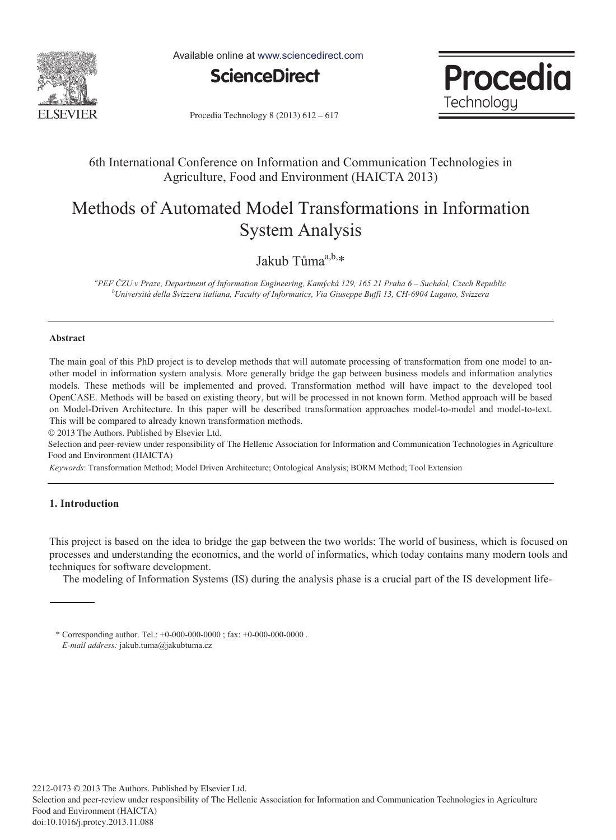

Available online at www.sciencedirect.com





Procedia Technology 8 (2013) 612 - 617

## 6th International Conference on Information and Communication Technologies in Agriculture, Food and Environment (HAICTA 2013)

# Methods of Automated Model Transformations in Information System Analysis

Jakub Tůma<sup>a,b,</sup>\*

<sup>a</sup>PEF ČZU v Praze, Department of Information Engineering, Kamýcká 129, 165 21 Praha 6 – Suchdol, Czech Republic<br><sup>b</sup>Università della Svizzera italiana, Faculty of Informatios, Via Giusenne Buffi 12, CH 6004 Lugare, Svizzer *Università della Svizzera italiana, Faculty of Informatics, Via Giuseppe Buffi 13, CH-6904 Lugano, Svizzera* 

#### **Abstract**

The main goal of this PhD project is to develop methods that will automate processing of transformation from one model to another model in information system analysis. More generally bridge the gap between business models and information analytics models. These methods will be implemented and proved. Transformation method will have impact to the developed tool OpenCASE. Methods will be based on existing theory, but will be processed in not known form. Method approach will be based on Model-Driven Architecture. In this paper will be described transformation approaches model-to-model and model-to-text. This will be compared to already known transformation methods.

© 2013 The Authors. Published by Elsevier Ltd.

Selection and peer-review under responsibility of The Hellenic Association for Information and Communication Technologies in Agriculture Food and Environment (HAICTA)

*Keywords*: Transformation Method; Model Driven Architecture; Ontological Analysis; BORM Method; Tool Extension

### **1. Introduction**

This project is based on the idea to bridge the gap between the two worlds: The world of business, which is focused on processes and understanding the economics, and the world of informatics, which today contains many modern tools and techniques for software development.

The modeling of Information Systems (IS) during the analysis phase is a crucial part of the IS development life-

<sup>\*</sup> Corresponding author. Tel.: +0-000-000-0000 ; fax: +0-000-000-0000 . *E-mail address:* jakub.tuma@jakubtuma.cz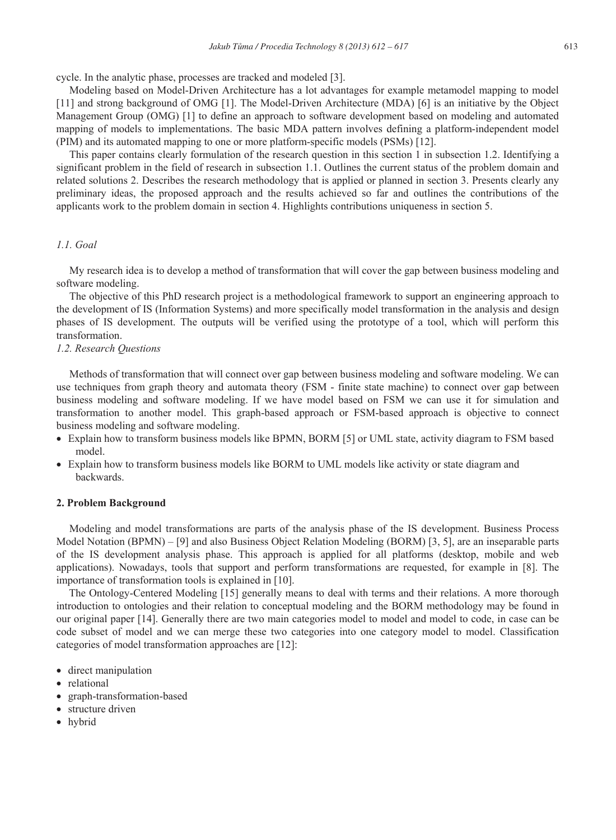cycle. In the analytic phase, processes are tracked and modeled [3].

Modeling based on Model-Driven Architecture has a lot advantages for example metamodel mapping to model [11] and strong background of OMG [1]. The Model-Driven Architecture (MDA) [6] is an initiative by the Object Management Group (OMG) [1] to define an approach to software development based on modeling and automated mapping of models to implementations. The basic MDA pattern involves defining a platform-independent model (PIM) and its automated mapping to one or more platform-specific models (PSMs) [12].

This paper contains clearly formulation of the research question in this section 1 in subsection 1.2. Identifying a significant problem in the field of research in subsection 1.1. Outlines the current status of the problem domain and related solutions 2. Describes the research methodology that is applied or planned in section 3. Presents clearly any preliminary ideas, the proposed approach and the results achieved so far and outlines the contributions of the applicants work to the problem domain in section 4. Highlights contributions uniqueness in section 5.

#### *1.1. Goal*

My research idea is to develop a method of transformation that will cover the gap between business modeling and software modeling.

The objective of this PhD research project is a methodological framework to support an engineering approach to the development of IS (Information Systems) and more specifically model transformation in the analysis and design phases of IS development. The outputs will be verified using the prototype of a tool, which will perform this transformation.

### *1.2. Research Questions*

Methods of transformation that will connect over gap between business modeling and software modeling. We can use techniques from graph theory and automata theory (FSM - finite state machine) to connect over gap between business modeling and software modeling. If we have model based on FSM we can use it for simulation and transformation to another model. This graph-based approach or FSM-based approach is objective to connect business modeling and software modeling.

- Explain how to transform business models like BPMN, BORM [5] or UML state, activity diagram to FSM based model.
- Explain how to transform business models like BORM to UML models like activity or state diagram and backwards.

#### **2. Problem Background**

Modeling and model transformations are parts of the analysis phase of the IS development. Business Process Model Notation (BPMN) – [9] and also Business Object Relation Modeling (BORM) [3, 5], are an inseparable parts of the IS development analysis phase. This approach is applied for all platforms (desktop, mobile and web applications). Nowadays, tools that support and perform transformations are requested, for example in [8]. The importance of transformation tools is explained in [10].

The Ontology-Centered Modeling [15] generally means to deal with terms and their relations. A more thorough introduction to ontologies and their relation to conceptual modeling and the BORM methodology may be found in our original paper [14]. Generally there are two main categories model to model and model to code, in case can be code subset of model and we can merge these two categories into one category model to model. Classification categories of model transformation approaches are [12]:

- direct manipulation
- relational
- graph-transformation-based
- structure driven
- hybrid